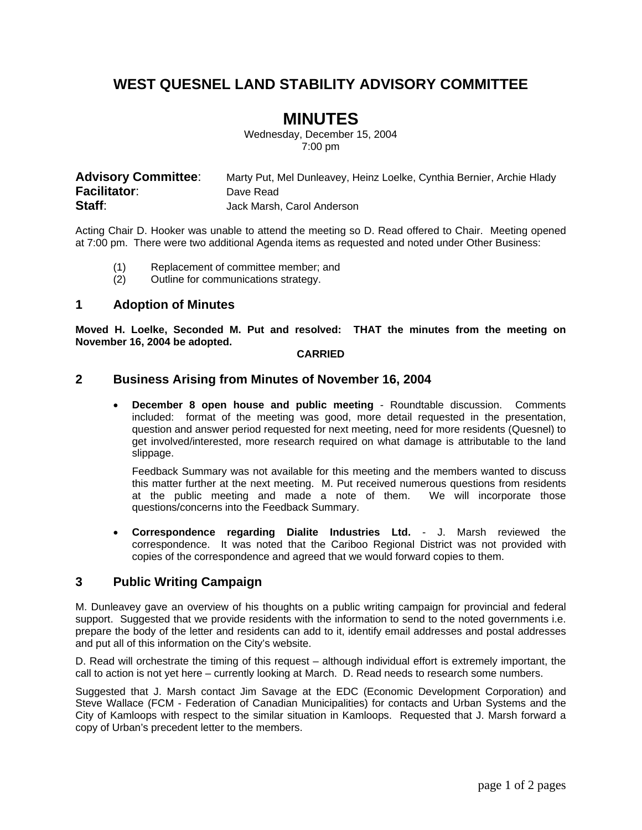# **WEST QUESNEL LAND STABILITY ADVISORY COMMITTEE**

# **MINUTES**

Wednesday, December 15, 2004 7:00 pm

| <b>Advisory Committee:</b> | Marty Put, Mel Dunleavey, Heinz Loelke, Cynthia Bernier, Archie Hlady |
|----------------------------|-----------------------------------------------------------------------|
| <b>Facilitator:</b>        | Dave Read                                                             |
| Staff:                     | Jack Marsh, Carol Anderson                                            |

Acting Chair D. Hooker was unable to attend the meeting so D. Read offered to Chair. Meeting opened at 7:00 pm. There were two additional Agenda items as requested and noted under Other Business:

- (1) Replacement of committee member; and
- (2) Outline for communications strategy.

#### **1 Adoption of Minutes**

**Moved H. Loelke, Seconded M. Put and resolved: THAT the minutes from the meeting on November 16, 2004 be adopted.** 

#### **CARRIED**

#### **2 Business Arising from Minutes of November 16, 2004**

• **December 8 open house and public meeting** - Roundtable discussion. Comments included: format of the meeting was good, more detail requested in the presentation, question and answer period requested for next meeting, need for more residents (Quesnel) to get involved/interested, more research required on what damage is attributable to the land slippage.

Feedback Summary was not available for this meeting and the members wanted to discuss this matter further at the next meeting. M. Put received numerous questions from residents at the public meeting and made a note of them. We will incorporate those questions/concerns into the Feedback Summary.

• **Correspondence regarding Dialite Industries Ltd.** - J. Marsh reviewed the correspondence. It was noted that the Cariboo Regional District was not provided with copies of the correspondence and agreed that we would forward copies to them.

### **3 Public Writing Campaign**

M. Dunleavey gave an overview of his thoughts on a public writing campaign for provincial and federal support. Suggested that we provide residents with the information to send to the noted governments i.e. prepare the body of the letter and residents can add to it, identify email addresses and postal addresses and put all of this information on the City's website.

D. Read will orchestrate the timing of this request – although individual effort is extremely important, the call to action is not yet here – currently looking at March. D. Read needs to research some numbers.

Suggested that J. Marsh contact Jim Savage at the EDC (Economic Development Corporation) and Steve Wallace (FCM - Federation of Canadian Municipalities) for contacts and Urban Systems and the City of Kamloops with respect to the similar situation in Kamloops. Requested that J. Marsh forward a copy of Urban's precedent letter to the members.